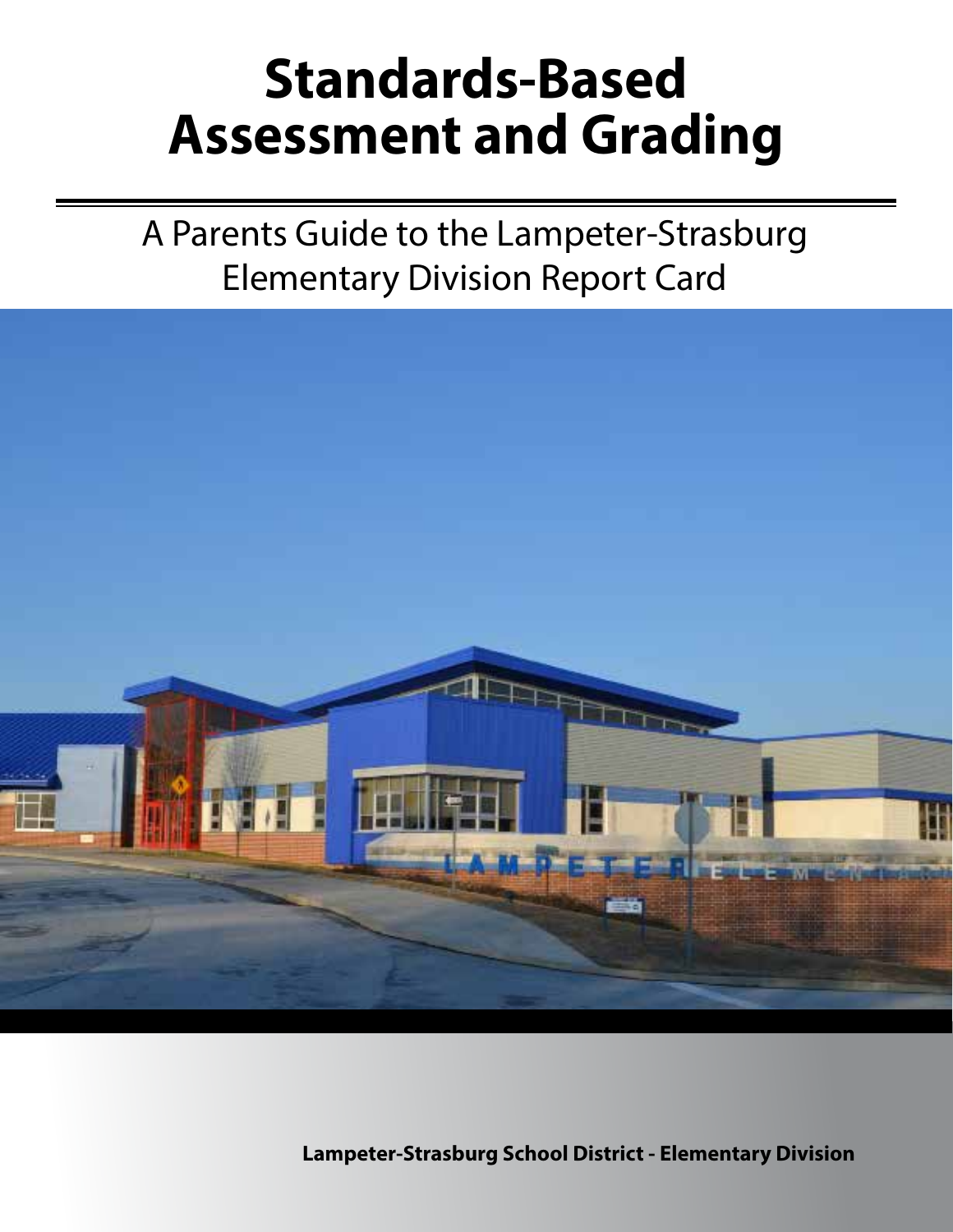# **Standards-Based Assessment and Grading**

A Parents Guide to the Lampeter-Strasburg Elementary Division Report Card



**Lampeter-Strasburg School District - Elementary Division**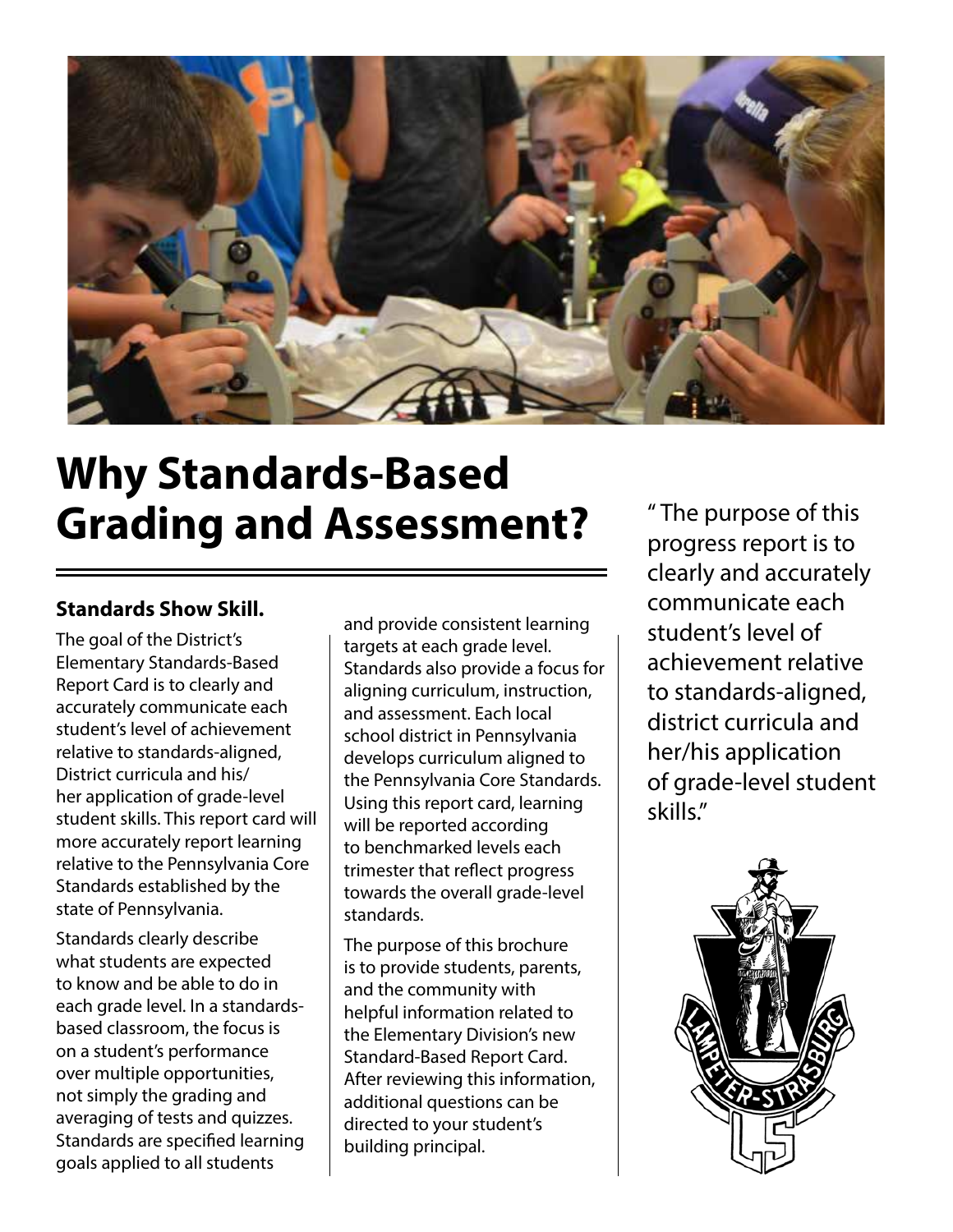

### **Why Standards-Based Grading and Assessment?**

### **Standards Show Skill.**

The goal of the District's Elementary Standards-Based Report Card is to clearly and accurately communicate each student's level of achievement relative to standards-aligned, District curricula and his/ her application of grade-level student skills. This report card will more accurately report learning relative to the Pennsylvania Core Standards established by the state of Pennsylvania.

Standards clearly describe what students are expected to know and be able to do in each grade level. In a standardsbased classroom, the focus is on a student's performance over multiple opportunities, not simply the grading and averaging of tests and quizzes. Standards are specified learning goals applied to all students

and provide consistent learning targets at each grade level. Standards also provide a focus for aligning curriculum, instruction, and assessment. Each local school district in Pennsylvania develops curriculum aligned to the Pennsylvania Core Standards. Using this report card, learning will be reported according to benchmarked levels each trimester that reflect progress towards the overall grade-level standards.

The purpose of this brochure is to provide students, parents, and the community with helpful information related to the Elementary Division's new Standard-Based Report Card. After reviewing this information, additional questions can be directed to your student's building principal.

" The purpose of this progress report is to clearly and accurately communicate each student's level of achievement relative to standards-aligned, district curricula and her/his application of grade-level student skills."

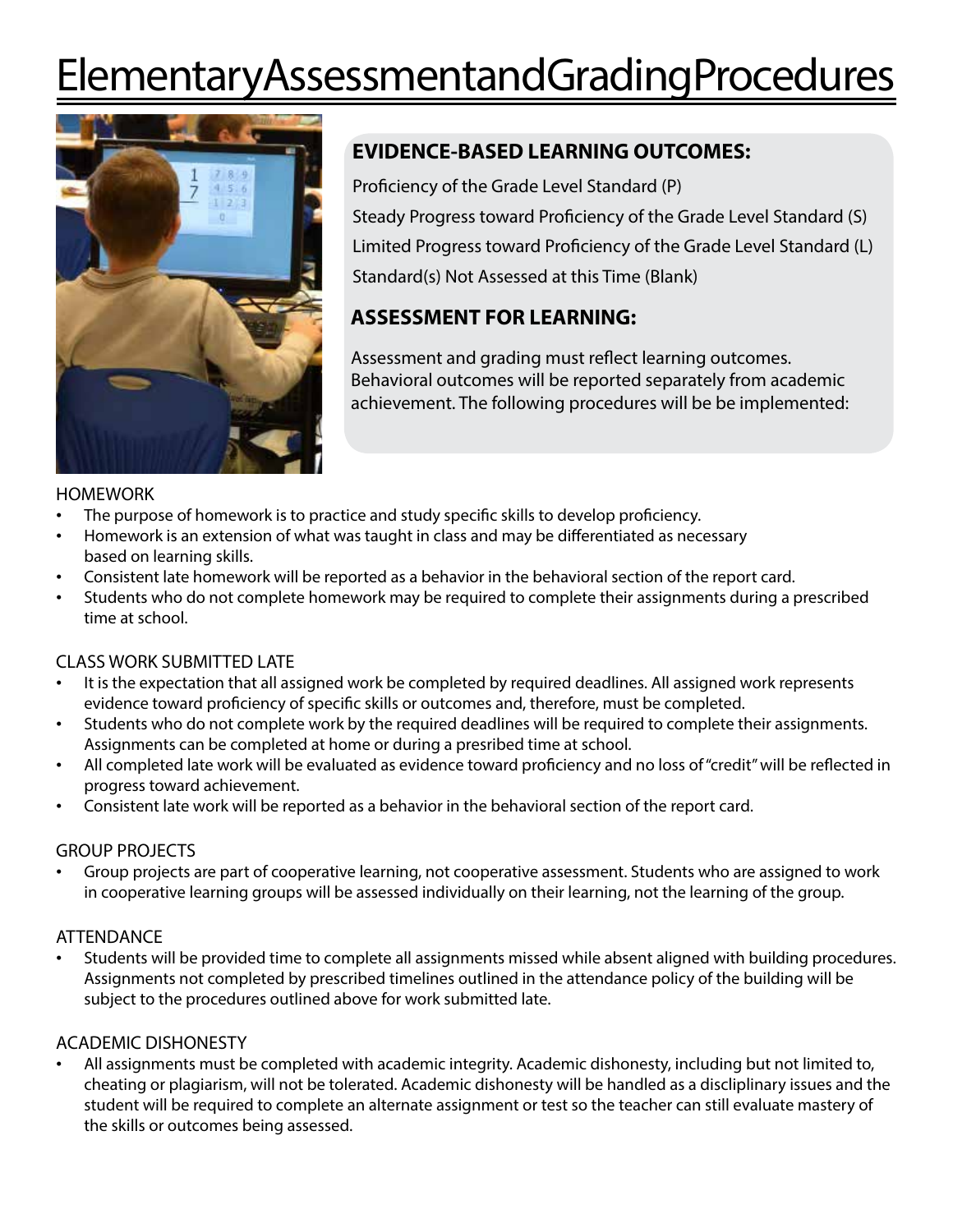# Elementary Assessment and Grading Procedures



### **EVIDENCE-BASED LEARNING OUTCOMES:**

Proficiency of the Grade Level Standard (P) Steady Progress toward Proficiency of the Grade Level Standard (S) Limited Progress toward Proficiency of the Grade Level Standard (L) Standard(s) Not Assessed at this Time (Blank)

### **ASSESSMENT FOR LEARNING:**

Assessment and grading must reflect learning outcomes. Behavioral outcomes will be reported separately from academic achievement. The following procedures will be be implemented:

#### **HOMEWORK**

- The purpose of homework is to practice and study specific skills to develop proficiency.
- Homework is an extension of what was taught in class and may be differentiated as necessary based on learning skills.
- Consistent late homework will be reported as a behavior in the behavioral section of the report card.
- Students who do not complete homework may be required to complete their assignments during a prescribed time at school.

#### CLASS WORK SUBMITTED LATE

- It is the expectation that all assigned work be completed by required deadlines. All assigned work represents evidence toward proficiency of specific skills or outcomes and, therefore, must be completed.
- Students who do not complete work by the required deadlines will be required to complete their assignments. Assignments can be completed at home or during a presribed time at school.
- All completed late work will be evaluated as evidence toward proficiency and no loss of "credit" will be reflected in progress toward achievement.
- Consistent late work will be reported as a behavior in the behavioral section of the report card.

#### GROUP PROJECTS

• Group projects are part of cooperative learning, not cooperative assessment. Students who are assigned to work in cooperative learning groups will be assessed individually on their learning, not the learning of the group.

#### **ATTENDANCE**

• Students will be provided time to complete all assignments missed while absent aligned with building procedures. Assignments not completed by prescribed timelines outlined in the attendance policy of the building will be subject to the procedures outlined above for work submitted late.

#### ACADEMIC DISHONESTY

• All assignments must be completed with academic integrity. Academic dishonesty, including but not limited to, cheating or plagiarism, will not be tolerated. Academic dishonesty will be handled as a discliplinary issues and the student will be required to complete an alternate assignment or test so the teacher can still evaluate mastery of the skills or outcomes being assessed.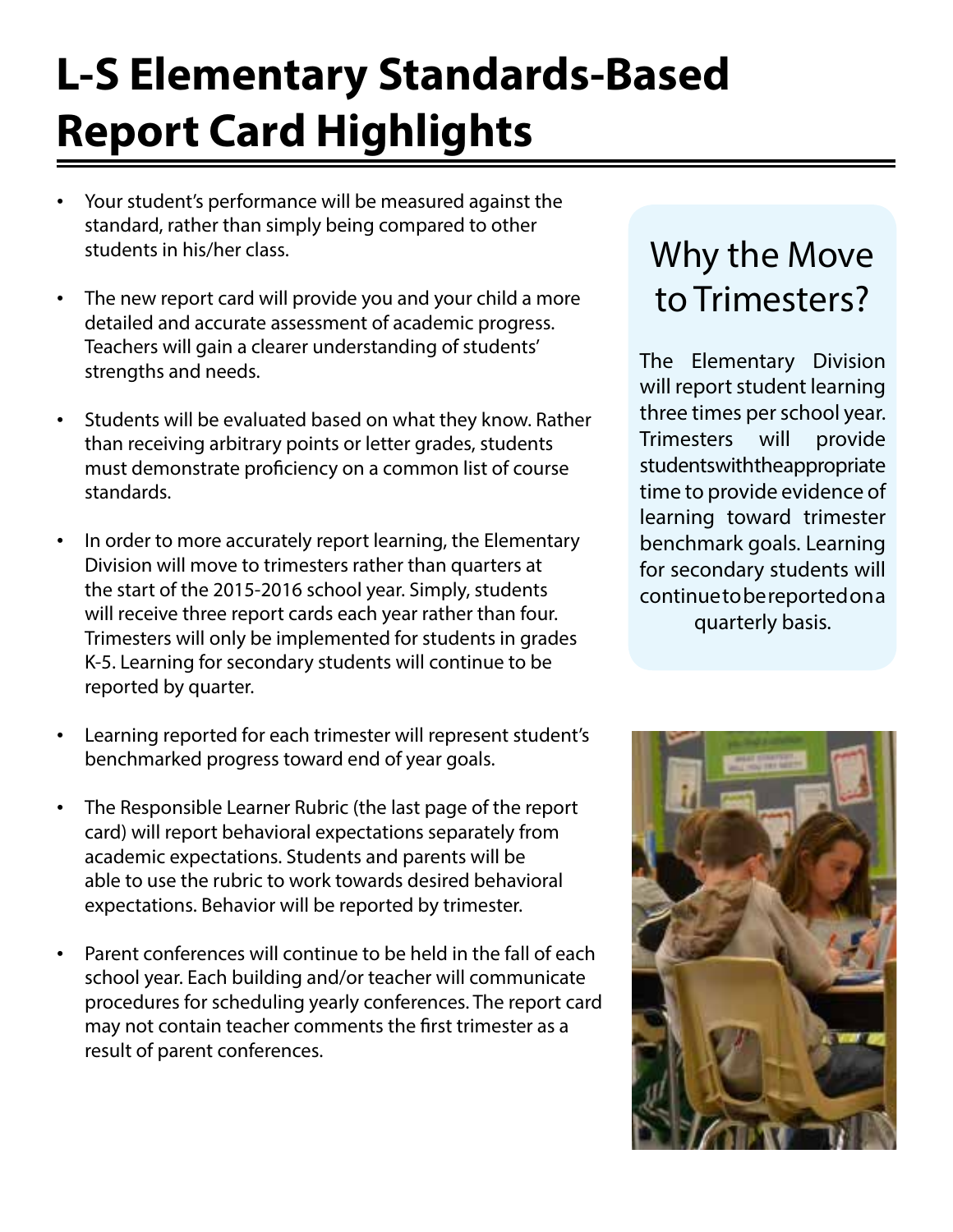# **L-S Elementary Standards-Based Report Card Highlights**

- Your student's performance will be measured against the standard, rather than simply being compared to other students in his/her class.
- The new report card will provide you and your child a more detailed and accurate assessment of academic progress. Teachers will gain a clearer understanding of students' strengths and needs.
- Students will be evaluated based on what they know. Rather than receiving arbitrary points or letter grades, students must demonstrate proficiency on a common list of course standards.
- In order to more accurately report learning, the Elementary Division will move to trimesters rather than quarters at the start of the 2015-2016 school year. Simply, students will receive three report cards each year rather than four. Trimesters will only be implemented for students in grades K-5. Learning for secondary students will continue to be reported by quarter.
- Learning reported for each trimester will represent student's benchmarked progress toward end of year goals.
- The Responsible Learner Rubric (the last page of the report card) will report behavioral expectations separately from academic expectations. Students and parents will be able to use the rubric to work towards desired behavioral expectations. Behavior will be reported by trimester.
- Parent conferences will continue to be held in the fall of each school year. Each building and/or teacher will communicate procedures for scheduling yearly conferences. The report card may not contain teacher comments the first trimester as a result of parent conferences.

### Why the Move to Trimesters?

The Elementary Division will report student learning three times per school year. Trimesters will provide students with the appropriate time to provide evidence of learning toward trimester benchmark goals. Learning for secondary students will continue to be reported on a quarterly basis.

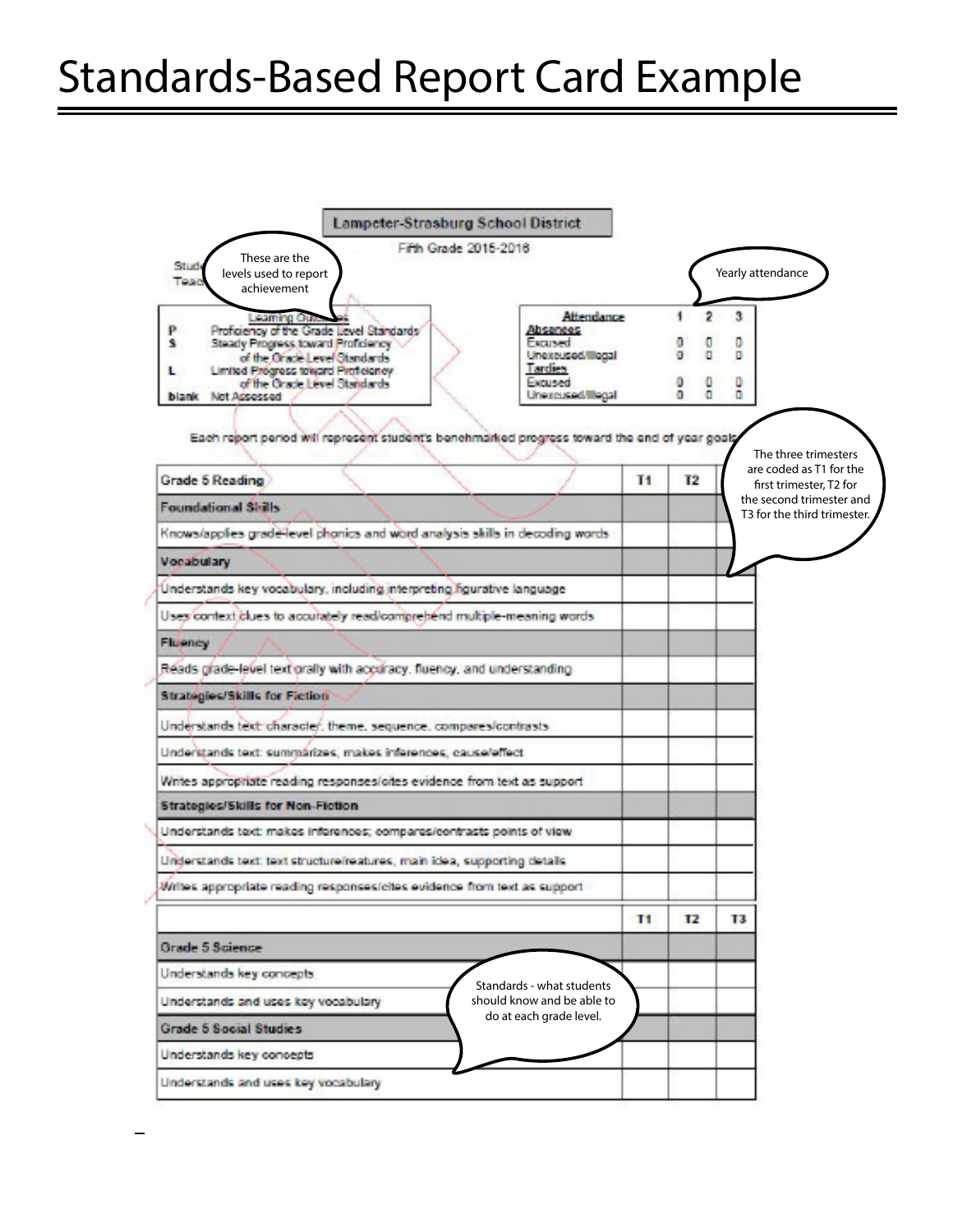## Standards-Based Report Card Example

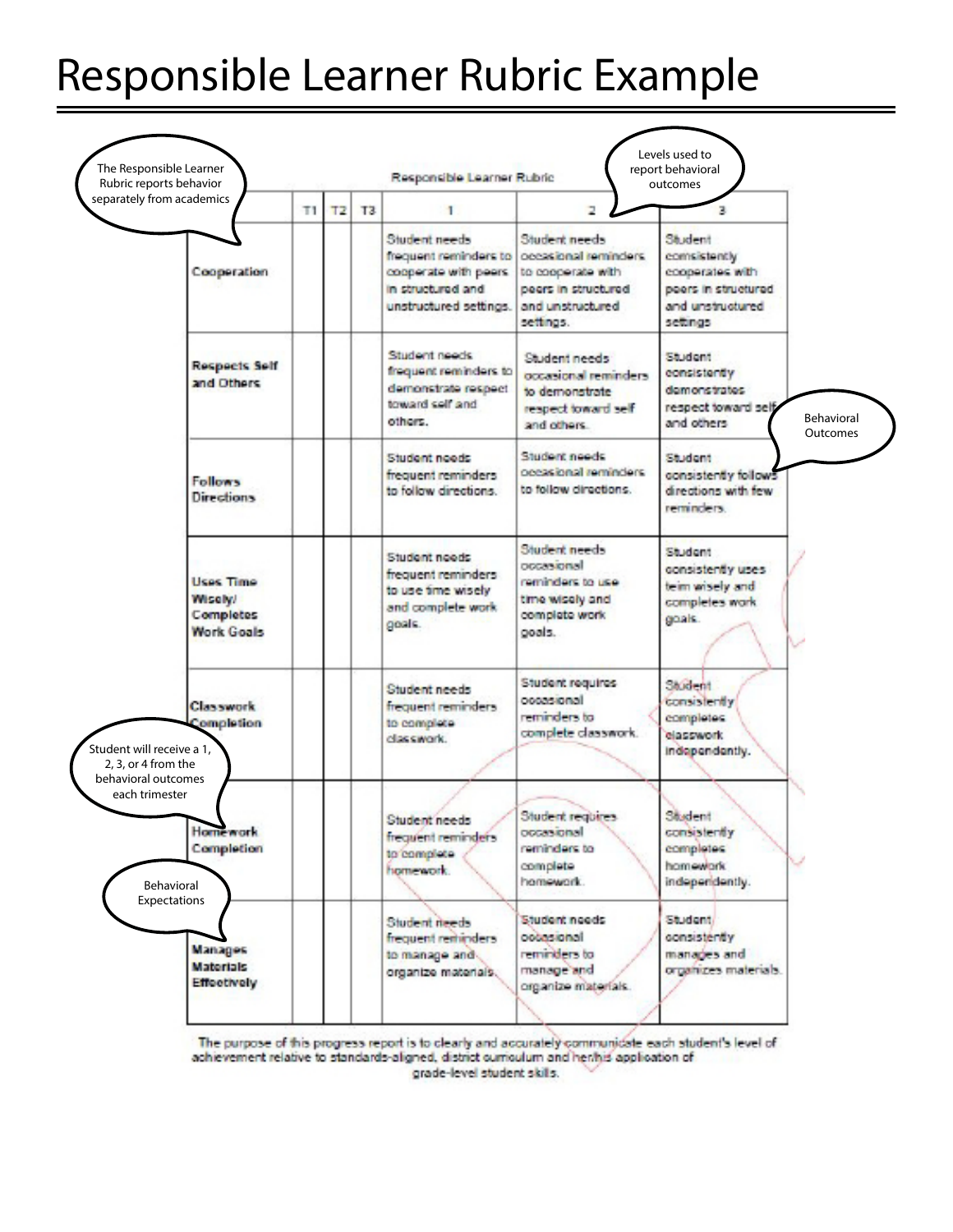## Responsible Learner Rubric Example



The purpose of this progress report is to clearly and accurately communicate each student's level of achievement relative to standards-aligned, district curriculum and her/his application of grade-level student skills.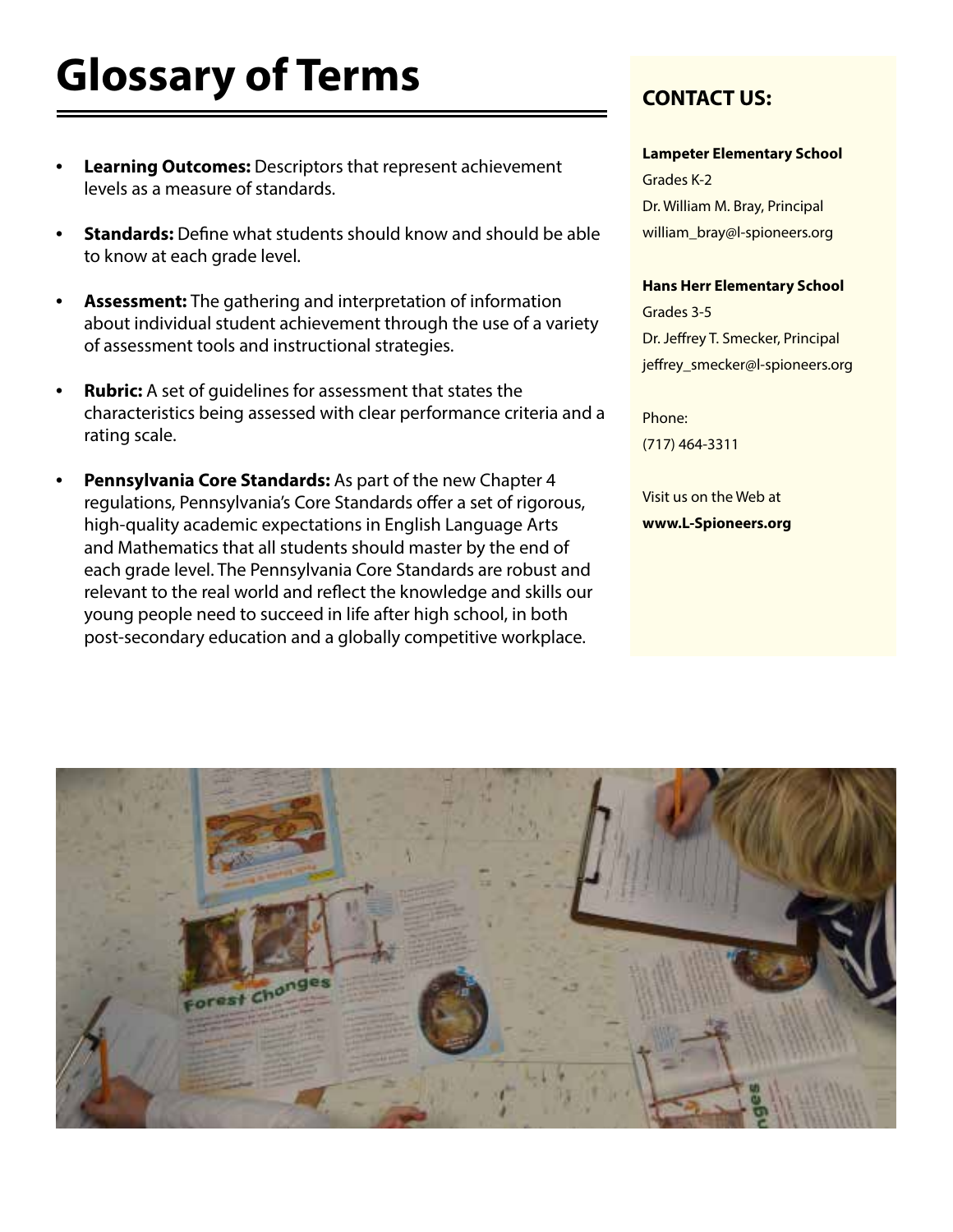# **Glossary of Terms**

- **• Learning Outcomes:** Descriptors that represent achievement levels as a measure of standards.
- **• Standards:** Define what students should know and should be able to know at each grade level.
- **• Assessment:** The gathering and interpretation of information about individual student achievement through the use of a variety of assessment tools and instructional strategies.
- **• Rubric:** A set of guidelines for assessment that states the characteristics being assessed with clear performance criteria and a rating scale.
- **• Pennsylvania Core Standards:** As part of the new Chapter 4 regulations, Pennsylvania's Core Standards offer a set of rigorous, high-quality academic expectations in English Language Arts and Mathematics that all students should master by the end of each grade level. The Pennsylvania Core Standards are robust and relevant to the real world and reflect the knowledge and skills our young people need to succeed in life after high school, in both post-secondary education and a globally competitive workplace.

### **CONTACT US:**

#### **Lampeter Elementary School**

Grades K-2 Dr. William M. Bray, Principal william\_bray@l-spioneers.org

#### **Hans Herr Elementary School**

Grades 3-5 Dr. Jeffrey T. Smecker, Principal jeffrey\_smecker@l-spioneers.org

Phone: (717) 464-3311

Visit us on the Web at **www.L-Spioneers.org**